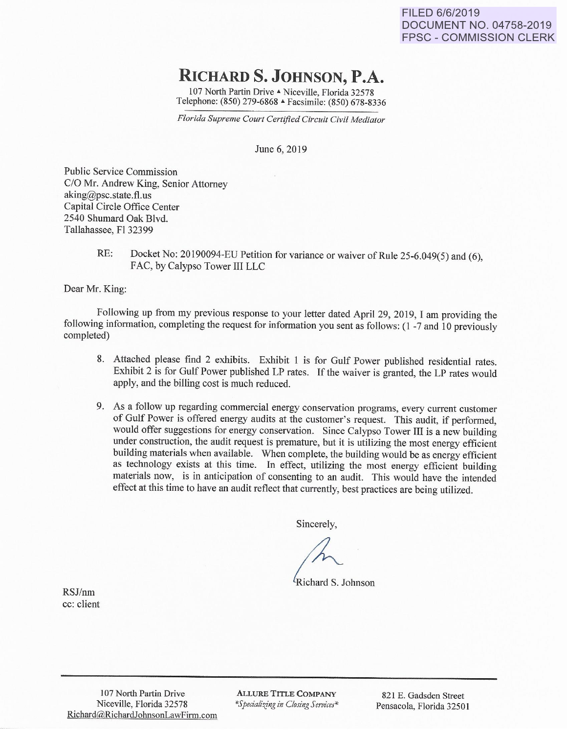**FILED 6/6/2019 DOCUMENT NO. 04758-2019 FPSC- COMMISSION CLERK** 

## **RICHARDS. JOHNSON, P.A.**

107 North Partin Drive A Niceville, Florida 32578 Telephone: (850) 279-6868 ~ Facsimile: (850) 678-8336

*Florida Supreme Court Certified Circuit Civil Mediator* 

June 6, 2019

Public Service Commission C/0 Mr. Andrew King, Senior Attorney aking@psc.state.fl.us Capital Circle Office Center 2540 Shumard Oak Blvd. Tallahassee, Fl 32399

> RE: Docket No: 20190094-EU Petition for variance or waiver of Rule 25-6.049(5) and (6), FAC, by Calypso Tower III LLC

Dear Mr. King:

Following up from my previous response to your letter dated April 29, 2019, I am providing the following information, completing the request for information you sent as follows: ( 1 -7 and 10 previously completed)

- 8. Attached please find 2 exhibits. Exhibit 1 is for Gulf Power published residential rates. Exhibit 2 is for Gulf Power published LP rates. If the waiver is granted, the LP rates would apply, and the billing cost is much reduced.
- 9. As a follow up regarding commercial energy conservation programs, every current customer of Gulf Power is offered energy audits at the customer's request. This audit, if performed, would offer suggestions for energy conservation. Since Calypso Tower III is a new building under construction, the audit request is premature, but it is utilizing the most energy efficient building materials when available. When complete, the building would be as energy efficient as technology exists at this time. In effect, utilizing the most energy efficient building materials now, is in anticipation of consenting to an audit. This would have the intended effect at this time to have an audit reflect that currently, best practices are being utilized.

Sincerely,

<sup>*K*</sup>Richard S. Johnson

RSJ/nm cc: client

> 107 North Partin Drive Niceville, Florida 32578 Richard@RichardJohnsonLawFinn.com

ALLURE TITLE COMPANY  $*$ *Specializing in Closing Services*<sup>\*</sup>

821 E. Gadsden Street Pensacola, Florida 32501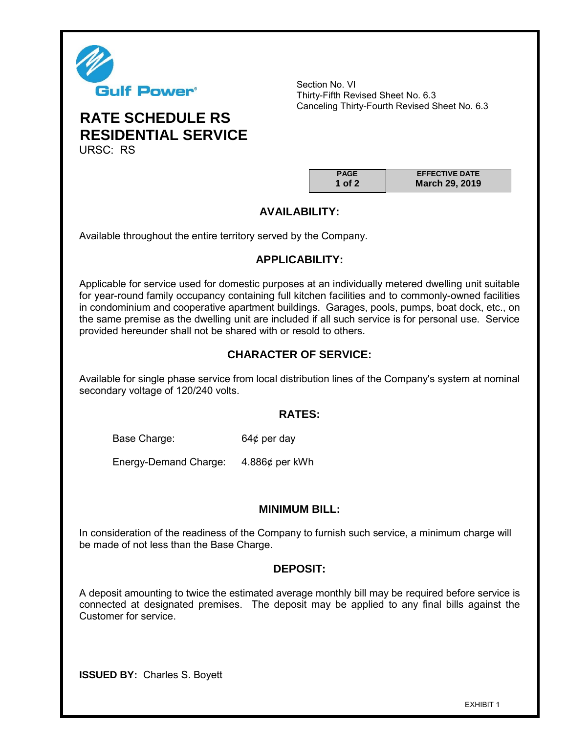

Section No. VI Thirty-Fifth Revised Sheet No. 6.3 Canceling Thirty-Fourth Revised Sheet No. 6.3

## **RATE SCHEDULE RS RESIDENTIAL SERVICE** URSC: RS

| <b>PAGE</b> | <b>EFFECTIVE DATE</b> |
|-------------|-----------------------|
| 1 of 2      | March 29, 2019        |

## **AVAILABILITY:**

Available throughout the entire territory served by the Company.

## **APPLICABILITY:**

Applicable for service used for domestic purposes at an individually metered dwelling unit suitable for year-round family occupancy containing full kitchen facilities and to commonly-owned facilities in condominium and cooperative apartment buildings. Garages, pools, pumps, boat dock, etc., on the same premise as the dwelling unit are included if all such service is for personal use. Service provided hereunder shall not be shared with or resold to others.

## **CHARACTER OF SERVICE:**

Available for single phase service from local distribution lines of the Company's system at nominal secondary voltage of 120/240 volts.

## **RATES:**

Base Charge: 64¢ per day

Energy-Demand Charge: 4.886¢ per kWh

## **MINIMUM BILL:**

In consideration of the readiness of the Company to furnish such service, a minimum charge will be made of not less than the Base Charge.

## **DEPOSIT:**

A deposit amounting to twice the estimated average monthly bill may be required before service is connected at designated premises. The deposit may be applied to any final bills against the Customer for service.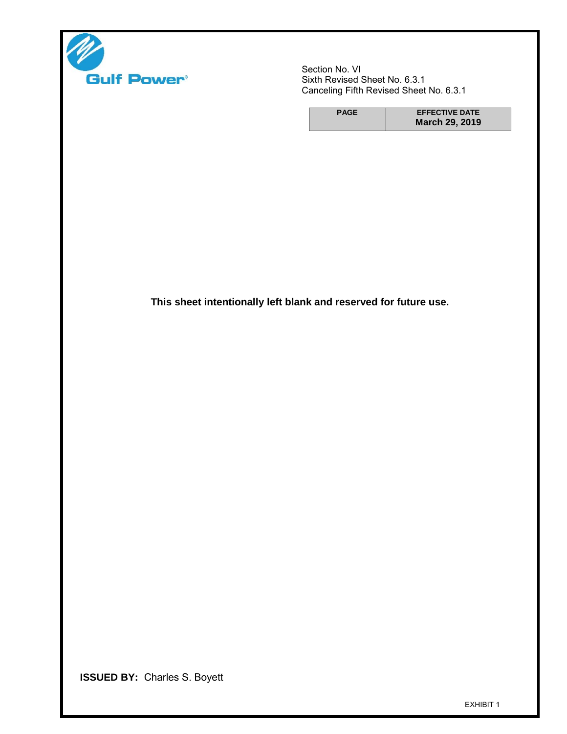

Section No. VI Sixth Revised Sheet No. 6.3.1 Canceling Fifth Revised Sheet No. 6.3.1

| <b>PAGE</b> | <b>EFFECTIVE DATE</b> |
|-------------|-----------------------|
|             | March 29, 2019        |

**This sheet intentionally left blank and reserved for future use.**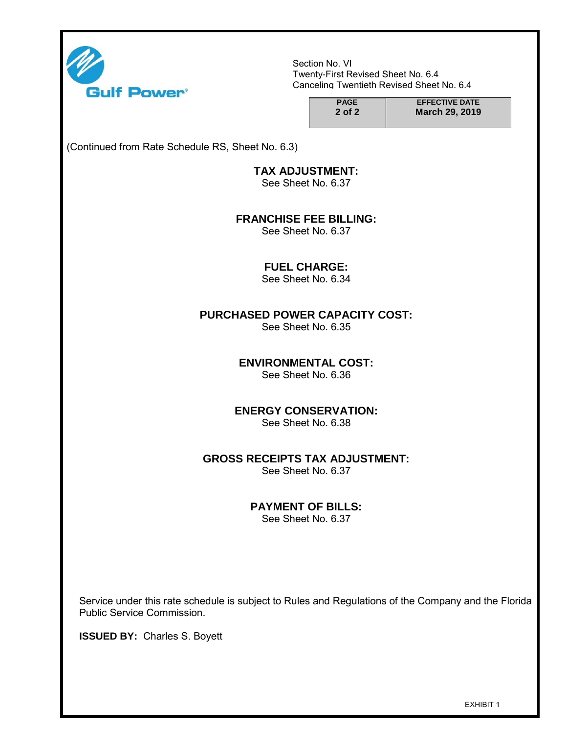

Section No. VI Twenty-First Revised Sheet No. 6.4 Canceling Twentieth Revised Sheet No. 6.4

| <b>PAGE</b> | <b>EFFECTIVE DATE</b> |
|-------------|-----------------------|
| 2 of 2      | March 29, 2019        |

(Continued from Rate Schedule RS, Sheet No. 6.3)

## **TAX ADJUSTMENT:**

See Sheet No. 6.37

#### **FRANCHISE FEE BILLING:**

See Sheet No. 6.37

### **FUEL CHARGE:**

See Sheet No. 6.34

## **PURCHASED POWER CAPACITY COST:**

See Sheet No. 6.35

## **ENVIRONMENTAL COST:**

See Sheet No. 6.36

## **ENERGY CONSERVATION:**

See Sheet No. 6.38

## **GROSS RECEIPTS TAX ADJUSTMENT:**

See Sheet No. 6.37

## **PAYMENT OF BILLS:**

See Sheet No. 6.37

Service under this rate schedule is subject to Rules and Regulations of the Company and the Florida Public Service Commission.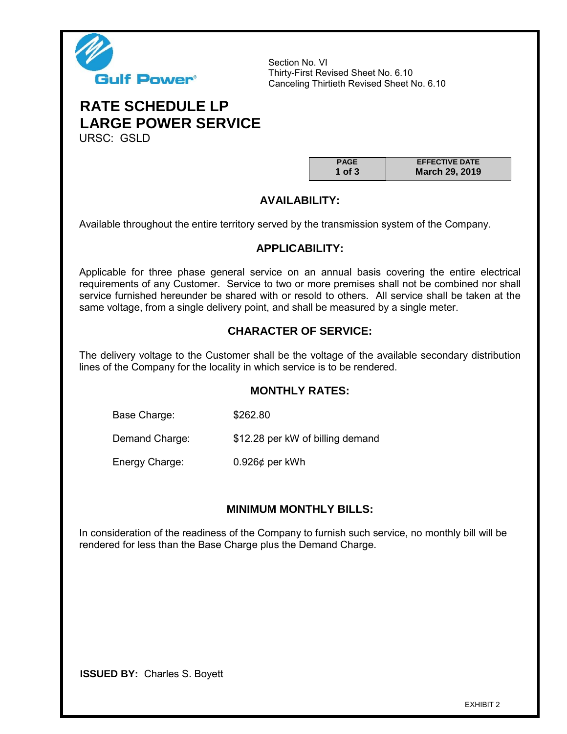

Section No. VI Thirty-First Revised Sheet No. 6.10 Canceling Thirtieth Revised Sheet No. 6.10

# **RATE SCHEDULE LP LARGE POWER SERVICE**

URSC: GSLD

| <b>PAGE</b> | <b>EFFECTIVE DATE</b> |
|-------------|-----------------------|
| 1 of $3$    | March 29, 2019        |

## **AVAILABILITY:**

Available throughout the entire territory served by the transmission system of the Company.

## **APPLICABILITY:**

Applicable for three phase general service on an annual basis covering the entire electrical requirements of any Customer. Service to two or more premises shall not be combined nor shall service furnished hereunder be shared with or resold to others. All service shall be taken at the same voltage, from a single delivery point, and shall be measured by a single meter.

## **CHARACTER OF SERVICE:**

The delivery voltage to the Customer shall be the voltage of the available secondary distribution lines of the Company for the locality in which service is to be rendered.

## **MONTHLY RATES:**

Base Charge: \$262.80

Demand Charge: \$12.28 per kW of billing demand

Energy Charge: 0.926¢ per kWh

## **MINIMUM MONTHLY BILLS:**

In consideration of the readiness of the Company to furnish such service, no monthly bill will be rendered for less than the Base Charge plus the Demand Charge.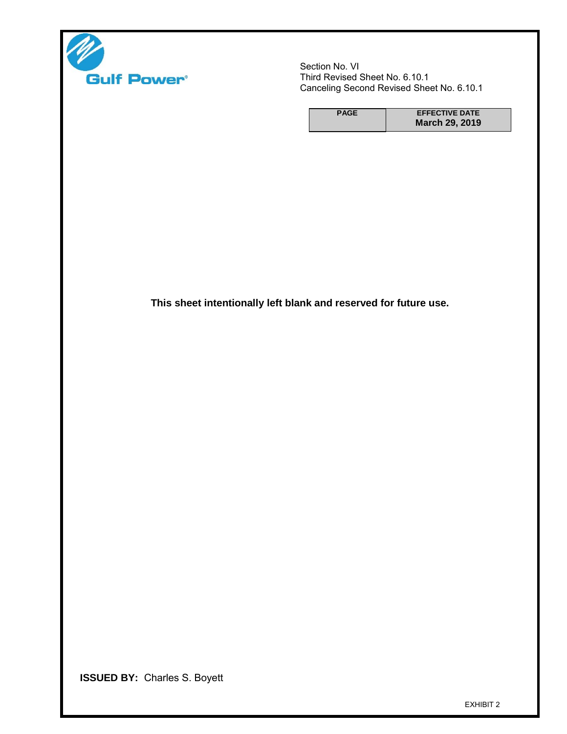

Section No. VI Third Revised Sheet No. 6.10.1 Canceling Second Revised Sheet No. 6.10.1

| <b>PAGE</b> | <b>EFFECTIVE DATE</b> |
|-------------|-----------------------|
|             | <b>March 29, 2019</b> |

**This sheet intentionally left blank and reserved for future use.**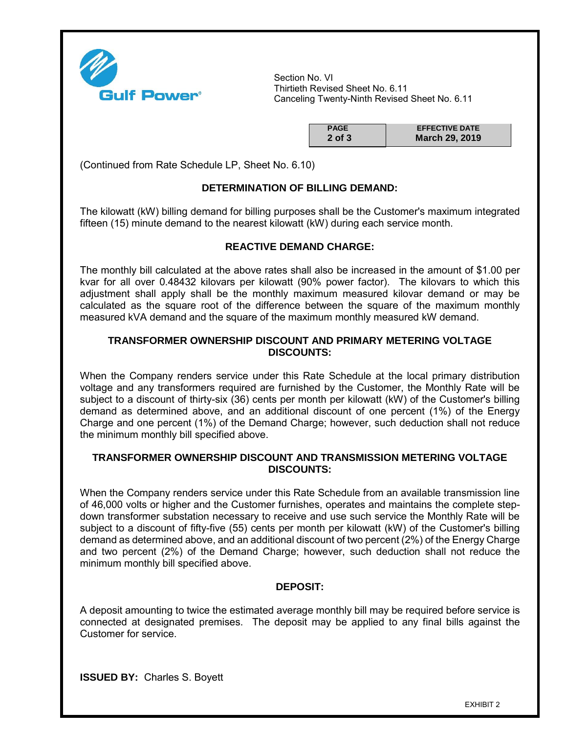

Section No. VI Thirtieth Revised Sheet No. 6.11 Canceling Twenty-Ninth Revised Sheet No. 6.11

| <b>PAGE</b> | <b>EFFECTIVE DATE</b> |
|-------------|-----------------------|
| $2$ of $3$  | March 29, 2019        |

(Continued from Rate Schedule LP, Sheet No. 6.10)

### **DETERMINATION OF BILLING DEMAND:**

The kilowatt (kW) billing demand for billing purposes shall be the Customer's maximum integrated fifteen (15) minute demand to the nearest kilowatt (kW) during each service month.

#### **REACTIVE DEMAND CHARGE:**

The monthly bill calculated at the above rates shall also be increased in the amount of \$1.00 per kvar for all over 0.48432 kilovars per kilowatt (90% power factor). The kilovars to which this adjustment shall apply shall be the monthly maximum measured kilovar demand or may be calculated as the square root of the difference between the square of the maximum monthly measured kVA demand and the square of the maximum monthly measured kW demand.

#### **TRANSFORMER OWNERSHIP DISCOUNT AND PRIMARY METERING VOLTAGE DISCOUNTS:**

When the Company renders service under this Rate Schedule at the local primary distribution voltage and any transformers required are furnished by the Customer, the Monthly Rate will be subject to a discount of thirty-six (36) cents per month per kilowatt (kW) of the Customer's billing demand as determined above, and an additional discount of one percent (1%) of the Energy Charge and one percent (1%) of the Demand Charge; however, such deduction shall not reduce the minimum monthly bill specified above.

#### **TRANSFORMER OWNERSHIP DISCOUNT AND TRANSMISSION METERING VOLTAGE DISCOUNTS:**

When the Company renders service under this Rate Schedule from an available transmission line of 46,000 volts or higher and the Customer furnishes, operates and maintains the complete stepdown transformer substation necessary to receive and use such service the Monthly Rate will be subject to a discount of fifty-five (55) cents per month per kilowatt (kW) of the Customer's billing demand as determined above, and an additional discount of two percent (2%) of the Energy Charge and two percent (2%) of the Demand Charge; however, such deduction shall not reduce the minimum monthly bill specified above.

#### **DEPOSIT:**

A deposit amounting to twice the estimated average monthly bill may be required before service is connected at designated premises. The deposit may be applied to any final bills against the Customer for service.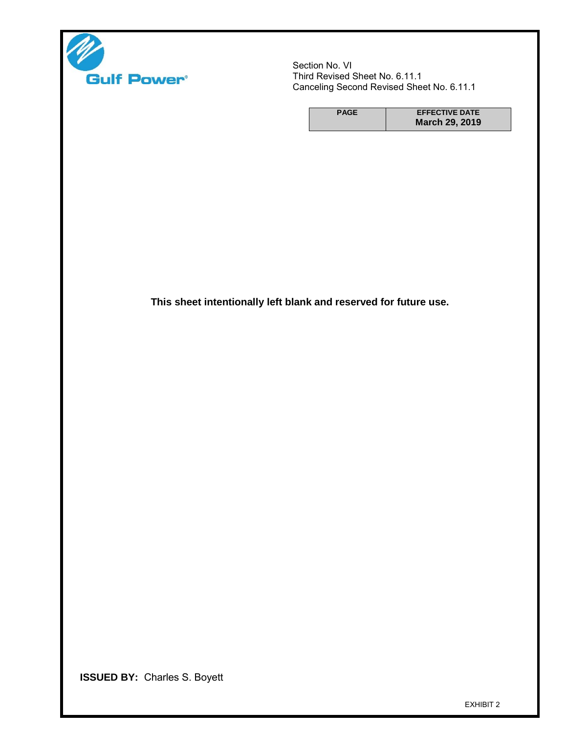

Section No. VI Third Revised Sheet No. 6.11.1 Canceling Second Revised Sheet No. 6.11.1

| <b>PAGE</b> | <b>EFFECTIVE DATE</b> |
|-------------|-----------------------|
|             | March 29, 2019        |

**This sheet intentionally left blank and reserved for future use.**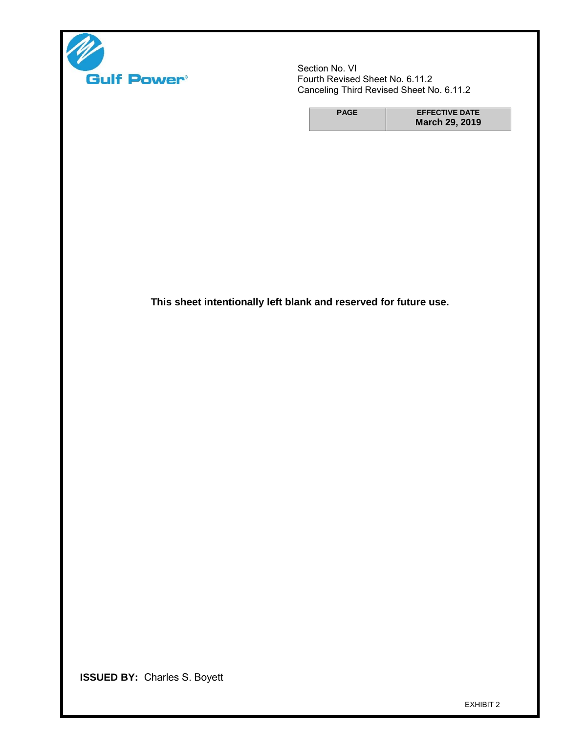

Section No. VI Fourth Revised Sheet No. 6.11.2 Canceling Third Revised Sheet No. 6.11.2

| <b>PAGE</b> | <b>EFFECTIVE DATE</b> |
|-------------|-----------------------|
|             | <b>March 29, 2019</b> |

**This sheet intentionally left blank and reserved for future use.**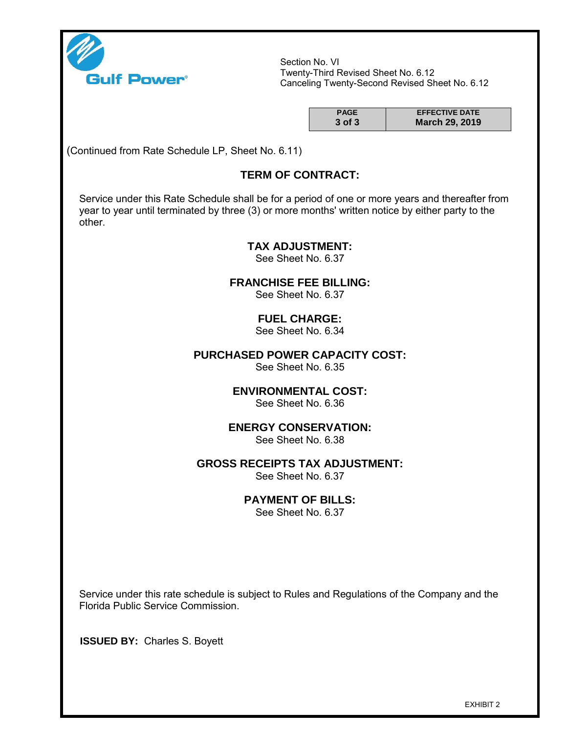

Section No. VI Twenty-Third Revised Sheet No. 6.12 Canceling Twenty-Second Revised Sheet No. 6.12

| <b>PAGE</b> | <b>EFFECTIVE DATE</b> |
|-------------|-----------------------|
| $3$ of $3$  | March 29, 2019        |

(Continued from Rate Schedule LP, Sheet No. 6.11)

## **TERM OF CONTRACT:**

Service under this Rate Schedule shall be for a period of one or more years and thereafter from year to year until terminated by three (3) or more months' written notice by either party to the other.

#### **TAX ADJUSTMENT:**

See Sheet No. 6.37

**FRANCHISE FEE BILLING:**

See Sheet No. 6.37

## **FUEL CHARGE:**

See Sheet No. 6.34

## **PURCHASED POWER CAPACITY COST:**

See Sheet No. 6.35

## **ENVIRONMENTAL COST:**

See Sheet No. 6.36

#### **ENERGY CONSERVATION:**

See Sheet No. 6.38

### **GROSS RECEIPTS TAX ADJUSTMENT:**

See Sheet No. 6.37

#### **PAYMENT OF BILLS:**

See Sheet No. 6.37

Service under this rate schedule is subject to Rules and Regulations of the Company and the Florida Public Service Commission.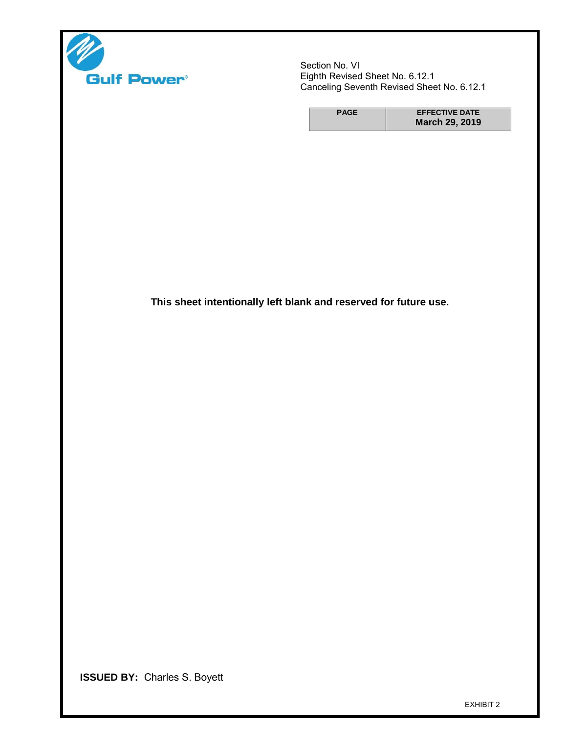

Section No. VI Eighth Revised Sheet No. 6.12.1 Canceling Seventh Revised Sheet No. 6.12.1

| <b>PAGE</b> | <b>EFFECTIVE DATE</b> |
|-------------|-----------------------|
|             | March 29, 2019        |

**This sheet intentionally left blank and reserved for future use.**